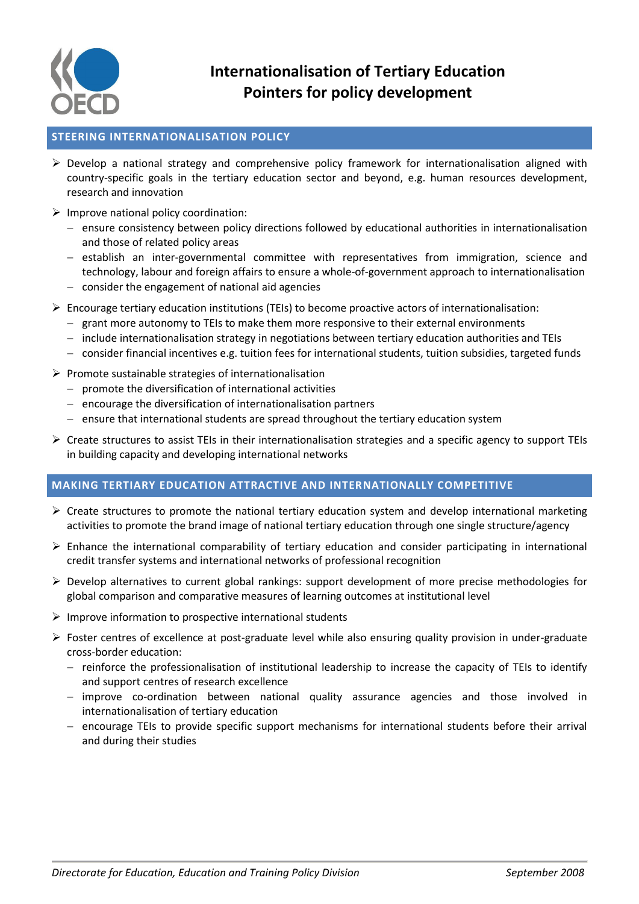

# **Internationalisation of Tertiary Education Pointers for policy development**

## **STEERING INTERNATIONALISATION POLICY**

- $\triangleright$  Develop a national strategy and comprehensive policy framework for internationalisation aligned with country-specific goals in the tertiary education sector and beyond, e.g. human resources development, research and innovation
- $\triangleright$  Improve national policy coordination:
	- ensure consistency between policy directions followed by educational authorities in internationalisation and those of related policy areas
	- $-$  establish an inter-governmental committee with representatives from immigration, science and technology, labour and foreign affairs to ensure a whole-of-government approach to internationalisation
	- $-$  consider the engagement of national aid agencies
- $\triangleright$  Encourage tertiary education institutions (TEIs) to become proactive actors of internationalisation:
	- $-$  grant more autonomy to TEIs to make them more responsive to their external environments
	- $-$  include internationalisation strategy in negotiations between tertiary education authorities and TEIs
	- consider financial incentives e.g. tuition fees for international students, tuition subsidies, targeted funds
- $\triangleright$  Promote sustainable strategies of internationalisation
	- $-$  promote the diversification of international activities
	- $e$  encourage the diversification of internationalisation partners
	- $e$  ensure that international students are spread throughout the tertiary education system
- $\triangleright$  Create structures to assist TEIs in their internationalisation strategies and a specific agency to support TEIs in building capacity and developing international networks

## **MAKING TERTIARY EDUCATION ATTRACTIVE AND INTERNATIONALLY COMPETITIVE**

- $\triangleright$  Create structures to promote the national tertiary education system and develop international marketing activities to promote the brand image of national tertiary education through one single structure/agency
- $\triangleright$  Enhance the international comparability of tertiary education and consider participating in international credit transfer systems and international networks of professional recognition
- $\triangleright$  Develop alternatives to current global rankings: support development of more precise methodologies for global comparison and comparative measures of learning outcomes at institutional level
- $\triangleright$  Improve information to prospective international students
- $\triangleright$  Foster centres of excellence at post-graduate level while also ensuring quality provision in under-graduate cross-border education:
	- reinforce the professionalisation of institutional leadership to increase the capacity of TEIs to identify and support centres of research excellence
	- improve co-ordination between national quality assurance agencies and those involved in internationalisation of tertiary education
	- $-$  encourage TEIs to provide specific support mechanisms for international students before their arrival and during their studies